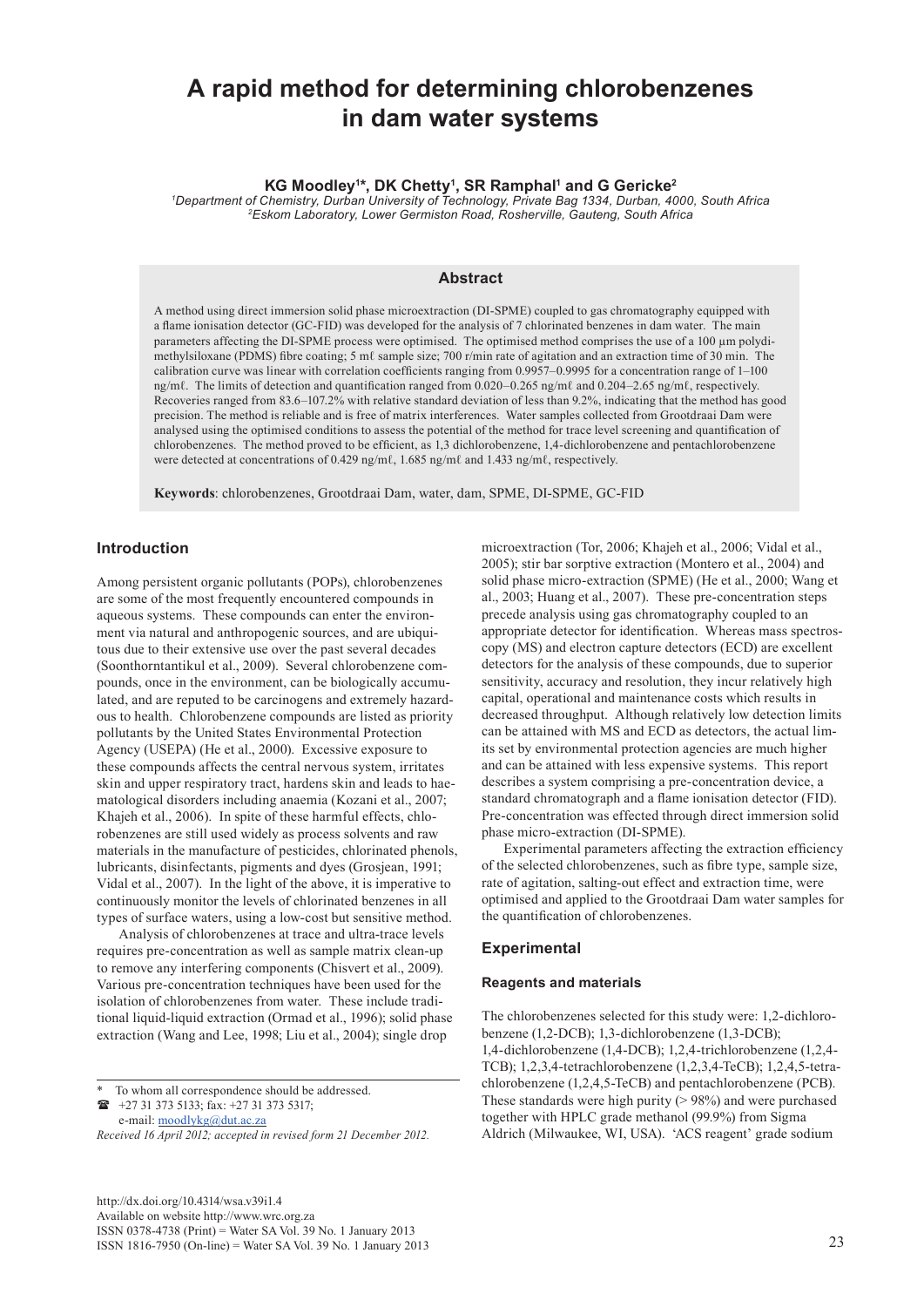# **A rapid method for determining chlorobenzenes in dam water systems**

# **KG Moodley1 \*, DK Chetty1 , SR Ramphal1 and G Gericke2**

*1 Department of Chemistry, Durban University of Technology, Private Bag 1334, Durban, 4000, South Africa 2Eskom Laboratory, Lower Germiston Road, Rosherville, Gauteng, South Africa*

# **Abstract**

A method using direct immersion solid phase microextraction (DI-SPME) coupled to gas chromatography equipped with a flame ionisation detector (GC-FID) was developed for the analysis of 7 chlorinated benzenes in dam water. The main parameters affecting the DI-SPME process were optimised. The optimised method comprises the use of a 100 um polydimethylsiloxane (PDMS) fibre coating; 5 mℓ sample size; 700 r/min rate of agitation and an extraction time of 30 min. The calibration curve was linear with correlation coefficients ranging from 0.9957–0.9995 for a concentration range of 1–100 ng/mℓ. The limits of detection and quantification ranged from 0.020–0.265 ng/mℓ and 0.204–2.65 ng/mℓ, respectively. Recoveries ranged from 83.6–107.2% with relative standard deviation of less than 9.2%, indicating that the method has good precision. The method is reliable and is free of matrix interferences. Water samples collected from Grootdraai Dam were analysed using the optimised conditions to assess the potential of the method for trace level screening and quantification of chlorobenzenes. The method proved to be efficient, as 1,3 dichlorobenzene, 1,4-dichlorobenzene and pentachlorobenzene were detected at concentrations of 0.429 ng/mℓ, 1.685 ng/mℓ and 1.433 ng/mℓ, respectively.

**Keywords**: chlorobenzenes, Grootdraai Dam, water, dam, SPME, DI-SPME, GC-FID

## **Introduction**

Among persistent organic pollutants (POPs), chlorobenzenes are some of the most frequently encountered compounds in aqueous systems. These compounds can enter the environment via natural and anthropogenic sources, and are ubiquitous due to their extensive use over the past several decades (Soonthorntantikul et al., 2009). Several chlorobenzene compounds, once in the environment, can be biologically accumulated, and are reputed to be carcinogens and extremely hazardous to health. Chlorobenzene compounds are listed as priority pollutants by the United States Environmental Protection Agency (USEPA) (He et al., 2000). Excessive exposure to these compounds affects the central nervous system, irritates skin and upper respiratory tract, hardens skin and leads to haematological disorders including anaemia (Kozani et al., 2007; Khajeh et al., 2006). In spite of these harmful effects, chlorobenzenes are still used widely as process solvents and raw materials in the manufacture of pesticides, chlorinated phenols, lubricants, disinfectants, pigments and dyes (Grosjean, 1991; Vidal et al., 2007). In the light of the above, it is imperative to continuously monitor the levels of chlorinated benzenes in all types of surface waters, using a low-cost but sensitive method.

Analysis of chlorobenzenes at trace and ultra-trace levels requires pre-concentration as well as sample matrix clean-up to remove any interfering components (Chisvert et al., 2009). Various pre-concentration techniques have been used for the isolation of chlorobenzenes from water. These include traditional liquid-liquid extraction (Ormad et al., 1996); solid phase extraction (Wang and Lee, 1998; Liu et al., 2004); single drop

To whom all correspondence should be addressed.

 +27 31 373 5133; fax: +27 31 373 5317; e-mail: [moodlykg@dut.ac.za](mailto:moodlykg@dut.ac.za) 

*Received 16 April 2012; accepted in revised form 21 December 2012.*

[http://dx.doi.org/10.4314/wsa.v39i1.4](http://dx.doi.org/10.4314/wsa.v37i4.18)  Available on website http://www.wrc.org.za ISSN 0378-4738 (Print) = Water SA Vol. 39 No. 1 January 2013 ISSN 1816-7950 (On-line) = Water SA Vol. 39 No. 1 January 2013 23

microextraction (Tor, 2006; Khajeh et al., 2006; Vidal et al., 2005); stir bar sorptive extraction (Montero et al., 2004) and solid phase micro-extraction (SPME) (He et al., 2000; Wang et al., 2003; Huang et al., 2007). These pre-concentration steps precede analysis using gas chromatography coupled to an appropriate detector for identification. Whereas mass spectroscopy (MS) and electron capture detectors (ECD) are excellent detectors for the analysis of these compounds, due to superior sensitivity, accuracy and resolution, they incur relatively high capital, operational and maintenance costs which results in decreased throughput. Although relatively low detection limits can be attained with MS and ECD as detectors, the actual limits set by environmental protection agencies are much higher and can be attained with less expensive systems. This report describes a system comprising a pre-concentration device, a standard chromatograph and a flame ionisation detector (FID). Pre-concentration was effected through direct immersion solid phase micro-extraction (DI-SPME).

Experimental parameters affecting the extraction efficiency of the selected chlorobenzenes, such as fibre type, sample size, rate of agitation, salting-out effect and extraction time, were optimised and applied to the Grootdraai Dam water samples for the quantification of chlorobenzenes.

## **Experimental**

#### **Reagents and materials**

The chlorobenzenes selected for this study were: 1,2-dichlorobenzene (1,2-DCB); 1,3-dichlorobenzene (1,3-DCB); 1,4-dichlorobenzene (1,4-DCB); 1,2,4-trichlorobenzene (1,2,4- TCB); 1,2,3,4-tetrachlorobenzene (1,2,3,4-TeCB); 1,2,4,5-tetrachlorobenzene (1,2,4,5-TeCB) and pentachlorobenzene (PCB). These standards were high purity (> 98%) and were purchased together with HPLC grade methanol (99.9%) from Sigma Aldrich (Milwaukee, WI, USA). 'ACS reagent' grade sodium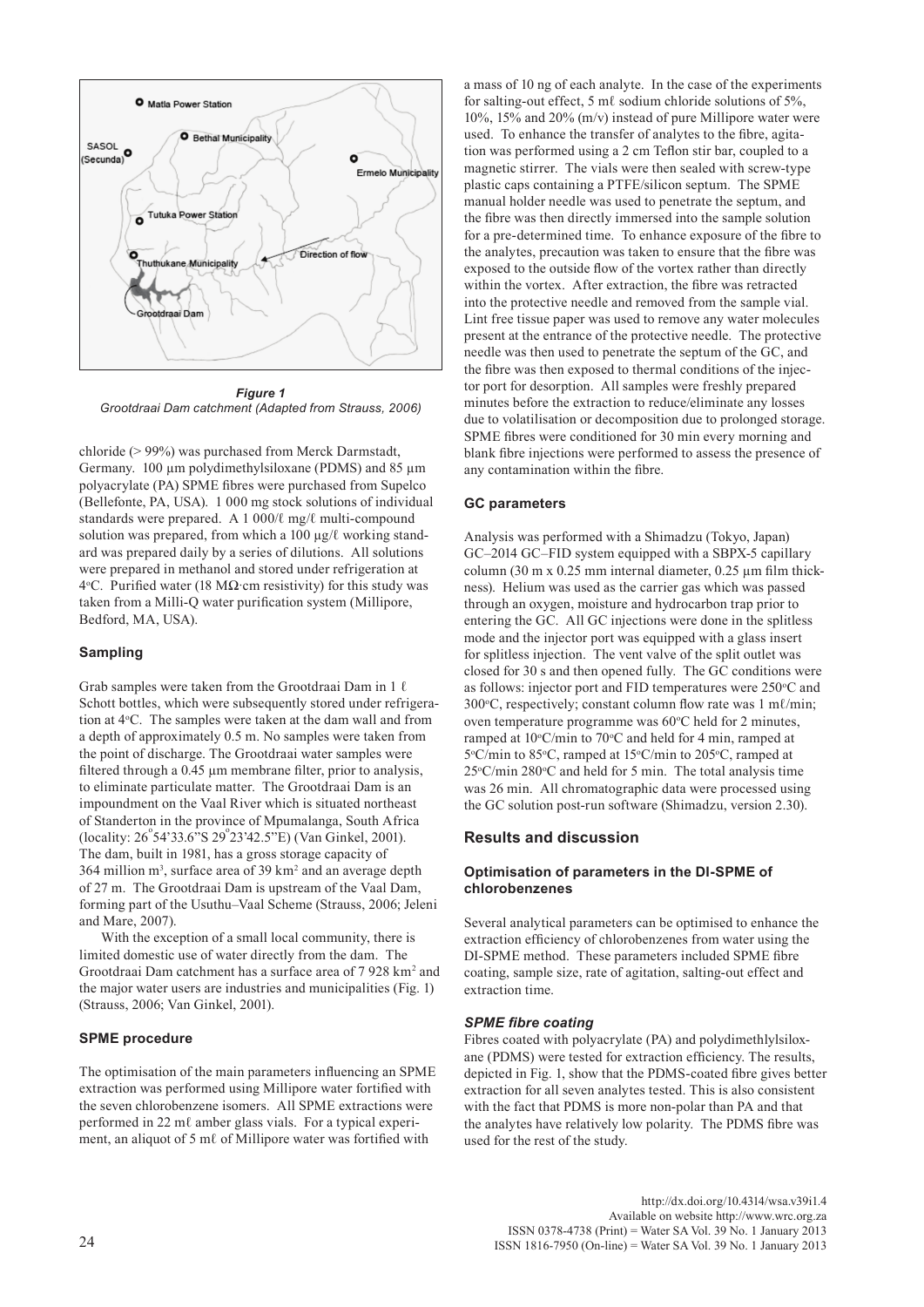

*Figure 1 Grootdraai Dam catchment (Adapted from Strauss, 2006)*

chloride (> 99%) was purchased from Merck Darmstadt, Germany. 100 µm polydimethylsiloxane (PDMS) and 85 µm polyacrylate (PA) SPME fibres were purchased from Supelco (Bellefonte, PA, USA). 1 000 mg stock solutions of individual standards were prepared. A 1 000/ℓ mg/ℓ multi-compound solution was prepared, from which a 100 μg/ℓ working standard was prepared daily by a series of dilutions. All solutions were prepared in methanol and stored under refrigeration at 4 °C. Purified water (18 MΩ cm resistivity) for this study was taken from a Milli-Q water purification system (Millipore, Bedford, MA, USA).

# **Sampling**

Grab samples were taken from the Grootdraai Dam in 1 ℓ Schott bottles, which were subsequently stored under refrigeration at 4°C. The samples were taken at the dam wall and from a depth of approximately 0.5 m. No samples were taken from the point of discharge. The Grootdraai water samples were filtered through a 0.45 µm membrane filter, prior to analysis, to eliminate particulate matter. The Grootdraai Dam is an impoundment on the Vaal River which is situated northeast of Standerton in the province of Mpumalanga, South Africa (locality:  $26^{\circ}54'33.6''S$   $29^{\circ}23'42.5''E$ ) (Van Ginkel, 2001). The dam, built in 1981, has a gross storage capacity of  $364$  million m<sup>3</sup>, surface area of 39 km<sup>2</sup> and an average depth of 27 m. The Grootdraai Dam is upstream of the Vaal Dam, forming part of the Usuthu–Vaal Scheme (Strauss, 2006; Jeleni and Mare, 2007).

With the exception of a small local community, there is limited domestic use of water directly from the dam. The Grootdraai Dam catchment has a surface area of 7 928 km<sup>2</sup> and the major water users are industries and municipalities (Fig. 1) (Strauss, 2006; Van Ginkel, 2001).

# **SPME procedure**

The optimisation of the main parameters influencing an SPME extraction was performed using Millipore water fortified with the seven chlorobenzene isomers. All SPME extractions were performed in 22 mℓ amber glass vials. For a typical experiment, an aliquot of 5 mℓ of Millipore water was fortified with

a mass of 10 ng of each analyte. In the case of the experiments for salting-out effect, 5 ml sodium chloride solutions of 5%. 10%, 15% and 20% (m/v) instead of pure Millipore water were used. To enhance the transfer of analytes to the fibre, agitation was performed using a 2 cm Teflon stir bar, coupled to a magnetic stirrer. The vials were then sealed with screw-type plastic caps containing a PTFE/silicon septum. The SPME manual holder needle was used to penetrate the septum, and the fibre was then directly immersed into the sample solution for a pre-determined time. To enhance exposure of the fibre to the analytes, precaution was taken to ensure that the fibre was exposed to the outside flow of the vortex rather than directly within the vortex. After extraction, the fibre was retracted into the protective needle and removed from the sample vial. Lint free tissue paper was used to remove any water molecules present at the entrance of the protective needle. The protective needle was then used to penetrate the septum of the GC, and the fibre was then exposed to thermal conditions of the injector port for desorption. All samples were freshly prepared minutes before the extraction to reduce/eliminate any losses due to volatilisation or decomposition due to prolonged storage. SPME fibres were conditioned for 30 min every morning and blank fibre injections were performed to assess the presence of any contamination within the fibre.

# **GC parameters**

Analysis was performed with a Shimadzu (Tokyo, Japan) GC–2014 GC–FID system equipped with a SBPX-5 capillary column (30 m  $x$  0.25 mm internal diameter, 0.25  $\mu$ m film thickness). Helium was used as the carrier gas which was passed through an oxygen, moisture and hydrocarbon trap prior to entering the GC. All GC injections were done in the splitless mode and the injector port was equipped with a glass insert for splitless injection. The vent valve of the split outlet was closed for 30 s and then opened fully. The GC conditions were as follows: injector port and FID temperatures were 250°C and 300 °C, respectively; constant column flow rate was 1 mℓ/min; oven temperature programme was 60°C held for 2 minutes, ramped at  $10^{\circ}$ C/min to  $70^{\circ}$ C and held for 4 min, ramped at 5°C/min to 85°C, ramped at 15°C/min to 205°C, ramped at  $25^{\circ}$ C/min 280 $^{\circ}$ C and held for 5 min. The total analysis time was 26 min. All chromatographic data were processed using the GC solution post-run software (Shimadzu, version 2.30).

# **Results and discussion**

# **Optimisation of parameters in the DI-SPME of chlorobenzenes**

Several analytical parameters can be optimised to enhance the extraction efficiency of chlorobenzenes from water using the DI-SPME method. These parameters included SPME fibre coating, sample size, rate of agitation, salting-out effect and extraction time.

#### *SPME fibre coating*

Fibres coated with polyacrylate (PA) and polydimethlylsiloxane (PDMS) were tested for extraction efficiency. The results, depicted in Fig. 1, show that the PDMS-coated fibre gives better extraction for all seven analytes tested. This is also consistent with the fact that PDMS is more non-polar than PA and that the analytes have relatively low polarity. The PDMS fibre was used for the rest of the study.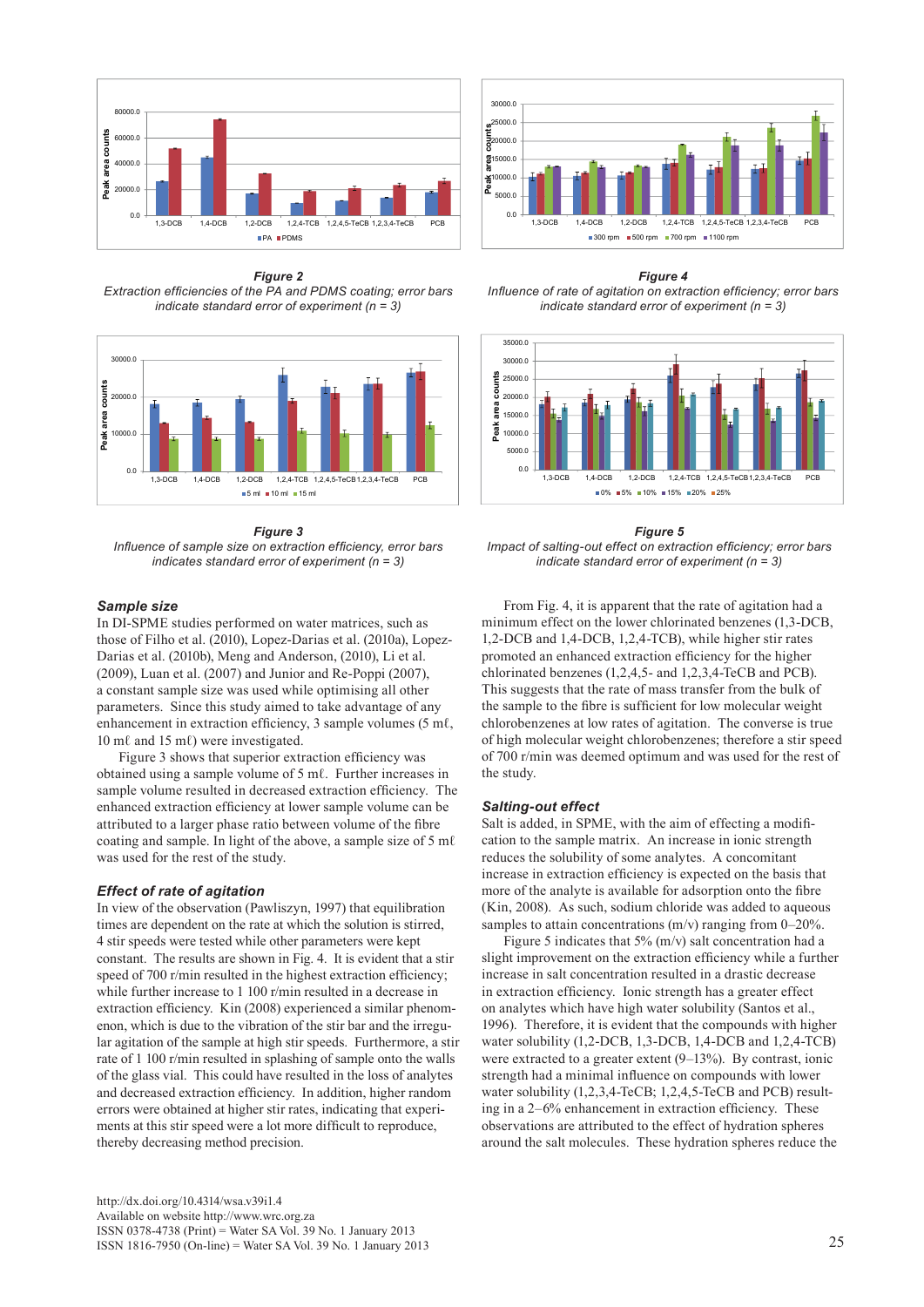

*Figure 2 Extraction efficiencies of the PA and PDMS coating; error bars indicate standard error of experiment (n = 3)*



#### *Figure 3*

*Influence of sample size on extraction efficiency, error bars indicates standard error of experiment (n = 3)*

# *Sample size*

In DI-SPME studies performed on water matrices, such as those of Filho et al. (2010), Lopez-Darias et al. (2010a), Lopez-Darias et al. (2010b), Meng and Anderson, (2010), Li et al. (2009), Luan et al. (2007) and Junior and Re-Poppi (2007), a constant sample size was used while optimising all other parameters. Since this study aimed to take advantage of any enhancement in extraction efficiency, 3 sample volumes (5 mℓ, 10 mℓ and 15 mℓ) were investigated.

Figure 3 shows that superior extraction efficiency was obtained using a sample volume of 5 mℓ. Further increases in sample volume resulted in decreased extraction efficiency. The enhanced extraction efficiency at lower sample volume can be attributed to a larger phase ratio between volume of the fibre coating and sample. In light of the above, a sample size of 5 mℓ was used for the rest of the study.

### *Effect of rate of agitation*

In view of the observation (Pawliszyn, 1997) that equilibration times are dependent on the rate at which the solution is stirred, 4 stir speeds were tested while other parameters were kept constant. The results are shown in Fig. 4. It is evident that a stir speed of 700 r/min resulted in the highest extraction efficiency; while further increase to 1 100 r/min resulted in a decrease in extraction efficiency. Kin (2008) experienced a similar phenomenon, which is due to the vibration of the stir bar and the irregular agitation of the sample at high stir speeds. Furthermore, a stir rate of 1 100 r/min resulted in splashing of sample onto the walls of the glass vial. This could have resulted in the loss of analytes and decreased extraction efficiency. In addition, higher random errors were obtained at higher stir rates, indicating that experiments at this stir speed were a lot more difficult to reproduce, thereby decreasing method precision.



*Figure 4 Influence of rate of agitation on extraction efficiency; error bars indicate standard error of experiment (n = 3)*



*Figure 5 Impact of salting-out effect on extraction efficiency; error bars indicate standard error of experiment (n = 3)*

From Fig. 4, it is apparent that the rate of agitation had a minimum effect on the lower chlorinated benzenes (1,3-DCB, 1,2-DCB and 1,4-DCB, 1,2,4-TCB), while higher stir rates promoted an enhanced extraction efficiency for the higher chlorinated benzenes (1,2,4,5- and 1,2,3,4-TeCB and PCB). This suggests that the rate of mass transfer from the bulk of the sample to the fibre is sufficient for low molecular weight chlorobenzenes at low rates of agitation. The converse is true of high molecular weight chlorobenzenes; therefore a stir speed of 700 r/min was deemed optimum and was used for the rest of the study.

#### *Salting-out effect*

Salt is added, in SPME, with the aim of effecting a modification to the sample matrix. An increase in ionic strength reduces the solubility of some analytes. A concomitant increase in extraction efficiency is expected on the basis that more of the analyte is available for adsorption onto the fibre (Kin, 2008). As such, sodium chloride was added to aqueous samples to attain concentrations (m/v) ranging from 0–20%.

Figure 5 indicates that 5% (m/v) salt concentration had a slight improvement on the extraction efficiency while a further increase in salt concentration resulted in a drastic decrease in extraction efficiency. Ionic strength has a greater effect on analytes which have high water solubility (Santos et al., 1996). Therefore, it is evident that the compounds with higher water solubility (1,2-DCB, 1,3-DCB, 1,4-DCB and 1,2,4-TCB) were extracted to a greater extent  $(9-13%)$ . By contrast, ionic strength had a minimal influence on compounds with lower water solubility (1,2,3,4-TeCB; 1,2,4,5-TeCB and PCB) resulting in a 2–6% enhancement in extraction efficiency. These observations are attributed to the effect of hydration spheres around the salt molecules. These hydration spheres reduce the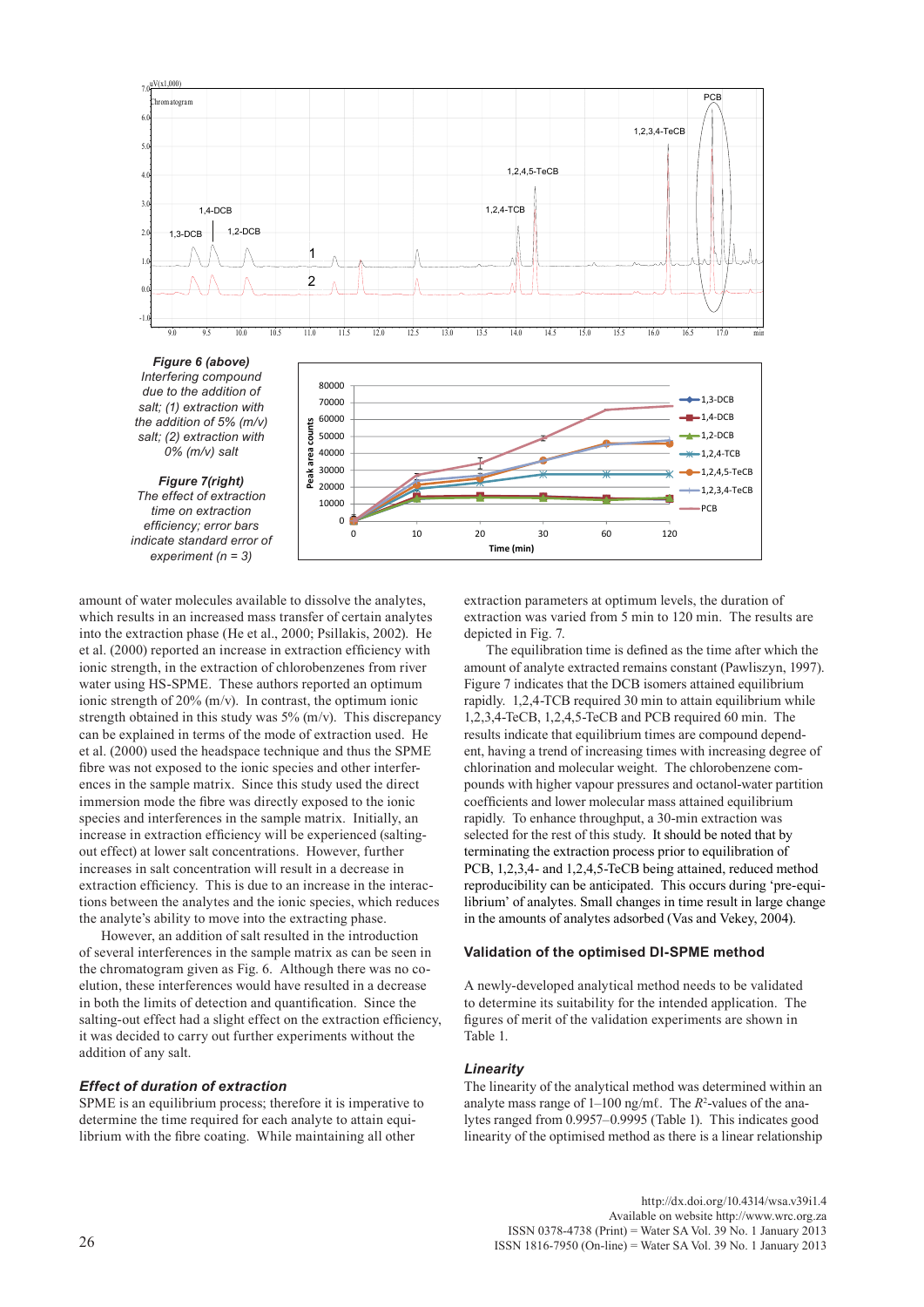

amount of water molecules available to dissolve the analytes, which results in an increased mass transfer of certain analytes into the extraction phase (He et al., 2000; Psillakis, 2002). He et al. (2000) reported an increase in extraction efficiency with ionic strength, in the extraction of chlorobenzenes from river water using HS-SPME. These authors reported an optimum ionic strength of 20% (m/v). In contrast, the optimum ionic strength obtained in this study was 5% (m/v). This discrepancy can be explained in terms of the mode of extraction used. He et al. (2000) used the headspace technique and thus the SPME fibre was not exposed to the ionic species and other interferences in the sample matrix. Since this study used the direct immersion mode the fibre was directly exposed to the ionic species and interferences in the sample matrix. Initially, an increase in extraction efficiency will be experienced (saltingout effect) at lower salt concentrations. However, further increases in salt concentration will result in a decrease in extraction efficiency. This is due to an increase in the interactions between the analytes and the ionic species, which reduces the analyte's ability to move into the extracting phase.

However, an addition of salt resulted in the introduction of several interferences in the sample matrix as can be seen in the chromatogram given as Fig. 6. Although there was no coelution, these interferences would have resulted in a decrease in both the limits of detection and quantification. Since the salting-out effect had a slight effect on the extraction efficiency, it was decided to carry out further experiments without the addition of any salt.

## *Effect of duration of extraction*

SPME is an equilibrium process; therefore it is imperative to determine the time required for each analyte to attain equilibrium with the fibre coating. While maintaining all other

extraction parameters at optimum levels, the duration of extraction was varied from 5 min to 120 min. The results are depicted in Fig. 7.

The equilibration time is defined as the time after which the amount of analyte extracted remains constant (Pawliszyn, 1997). Figure 7 indicates that the DCB isomers attained equilibrium rapidly. 1,2,4-TCB required 30 min to attain equilibrium while 1,2,3,4-TeCB, 1,2,4,5-TeCB and PCB required 60 min. The results indicate that equilibrium times are compound dependent, having a trend of increasing times with increasing degree of chlorination and molecular weight. The chlorobenzene compounds with higher vapour pressures and octanol-water partition coefficients and lower molecular mass attained equilibrium rapidly. To enhance throughput, a 30-min extraction was selected for the rest of this study. It should be noted that by terminating the extraction process prior to equilibration of PCB, 1,2,3,4- and 1,2,4,5-TeCB being attained, reduced method reproducibility can be anticipated. This occurs during 'pre-equilibrium' of analytes. Small changes in time result in large change in the amounts of analytes adsorbed (Vas and Vekey, 2004).

#### **Validation of the optimised DI-SPME method**

A newly-developed analytical method needs to be validated to determine its suitability for the intended application. The figures of merit of the validation experiments are shown in Table 1.

# *Linearity*

The linearity of the analytical method was determined within an analyte mass range of 1–100 ng/mℓ. The *R*<sup>2</sup> -values of the analytes ranged from 0.9957–0.9995 (Table 1). This indicates good linearity of the optimised method as there is a linear relationship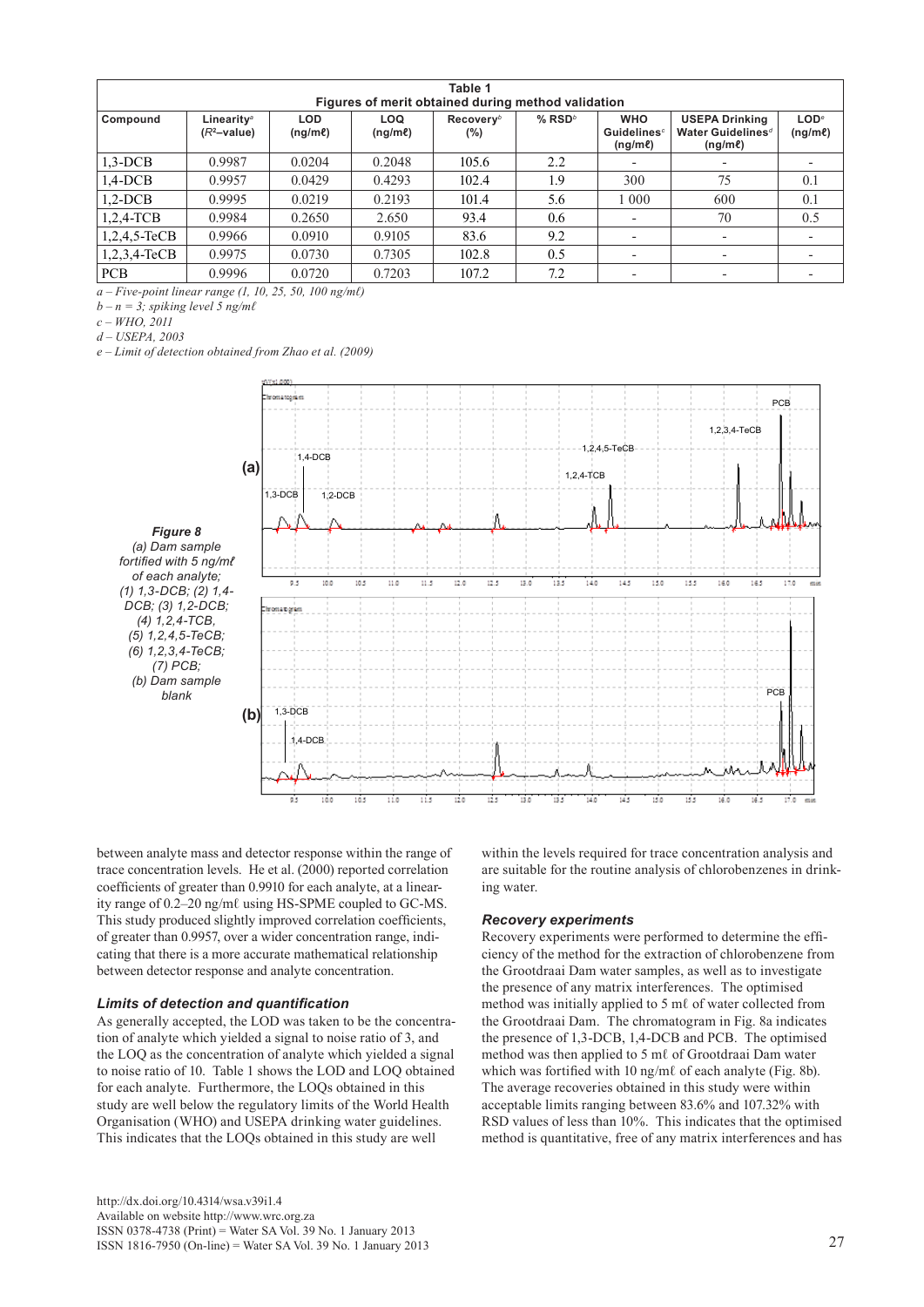| Table 1<br>Figures of merit obtained during method validation |                                          |                            |                     |                        |                                   |                                                              |                                                                        |                                          |  |  |
|---------------------------------------------------------------|------------------------------------------|----------------------------|---------------------|------------------------|-----------------------------------|--------------------------------------------------------------|------------------------------------------------------------------------|------------------------------------------|--|--|
| Compound                                                      | Linearity <sup>®</sup><br>$(R^2$ -value) | <b>LOD</b><br>$(nq/m\ell)$ | LOQ<br>$(nq/m\ell)$ | $Recovery^b$<br>$(\%)$ | $%$ RSD <sup><math>b</math></sup> | <b>WHO</b><br><b>Guidelines</b> <sup>c</sup><br>$(ng/m\ell)$ | <b>USEPA Drinking</b><br>Water Guidelines <sup>d</sup><br>$(ng/m\ell)$ | LOD <sup>e</sup><br>(ng/m <sub>e</sub> ) |  |  |
| $1,3-DCB$                                                     | 0.9987                                   | 0.0204                     | 0.2048              | 105.6                  | 2.2                               |                                                              |                                                                        |                                          |  |  |
| $1,4$ -DCB                                                    | 0.9957                                   | 0.0429                     | 0.4293              | 102.4                  | 1.9                               | 300                                                          | 75                                                                     | 0.1                                      |  |  |
| $1.2-DCB$                                                     | 0.9995                                   | 0.0219                     | 0.2193              | 101.4                  | 5.6                               | 1 000                                                        | 600                                                                    | 0.1                                      |  |  |
| $1,2,4$ -TCB                                                  | 0.9984                                   | 0.2650                     | 2.650               | 93.4                   | 0.6                               |                                                              | 70                                                                     | 0.5                                      |  |  |
| $1,2,4,5$ -TeCB                                               | 0.9966                                   | 0.0910                     | 0.9105              | 83.6                   | 9.2                               |                                                              |                                                                        |                                          |  |  |
| $1,2,3,4$ -TeCB                                               | 0.9975                                   | 0.0730                     | 0.7305              | 102.8                  | 0.5                               |                                                              |                                                                        |                                          |  |  |
| <b>PCB</b>                                                    | 0.9996                                   | 0.0720                     | 0.7203              | 107.2                  | 7.2                               |                                                              |                                                                        |                                          |  |  |

*a – Five-point linear range (1, 10, 25, 50, 100 ng/mℓ)* 

 $b - n = 3$ ; spiking level 5 ng/ml

*c – WHO, 2011*

*d – USEPA, 2003*

*e – Limit of detection obtained from Zhao et al. (2009)*



*Figure 8 (a) Dam sample fortified with 5 ng/mℓ of each analyte; (1) 1,3-DCB; (2) 1,4- DCB; (3) 1,2-DCB; (4) 1,2,4-TCB, (5) 1,2,4,5-TeCB; (6) 1,2,3,4-TeCB; (7) PCB; (b) Dam sample blank*

between analyte mass and detector response within the range of trace concentration levels. He et al. (2000) reported correlation coefficients of greater than 0.9910 for each analyte, at a linear- $\frac{1}{2}$  ity range of 0.2–20 ng/mℓ using HS-SPME coupled to GC-MS. This study produced slightly improved correlation coefficients, of greater than 0.9957, over a wider concentration range, indicating that there is a more accurate mathematical relationship between detector response and analyte concentration.

# *Limits of detection and quantification*

As generally accepted, the LOD was taken to be the concentration of analyte which yielded a signal to noise ratio of 3, and the LOQ as the concentration of analyte which yielded a signal to noise ratio of 10. Table 1 shows the LOD and LOQ obtained for each analyte. Furthermore, the LOQs obtained in this study are well below the regulatory limits of the World Health Organisation (WHO) and USEPA drinking water guidelines. This indicates that the LOQs obtained in this study are well

[http://dx.doi.org/10.4314/wsa.v39i1.4](http://dx.doi.org/10.4314/wsa.v37i4.18)  Available on website http://www.wrc.org.za ISSN 0378-4738 (Print) = Water SA Vol. 39 No. 1 January 2013 ISSN 1816-7950 (On-line) = Water SA Vol. 39 No. 1 January 2013 27

within the levels required for trace concentration analysis and s. He et al. (2000) reported correlation are suitable for the routine analysis of chlorobenzenes in drinking water.

# *Recovery experiments*

Recovery experiments were performed to determine the efficiency of the method for the extraction of chlorobenzene from the Grootdraai Dam water samples, as well as to investigate the presence of any matrix interferences. The optimised method was initially applied to 5 mℓ of water collected from the Grootdraai Dam. The chromatogram in Fig. 8a indicates the presence of 1,3-DCB, 1,4-DCB and PCB. The optimised method was then applied to 5 mℓ of Grootdraai Dam water which was fortified with 10 ng/mℓ of each analyte (Fig. 8b). The average recoveries obtained in this study were within acceptable limits ranging between 83.6% and 107.32% with RSD values of less than 10%. This indicates that the optimised method is quantitative, free of any matrix interferences and has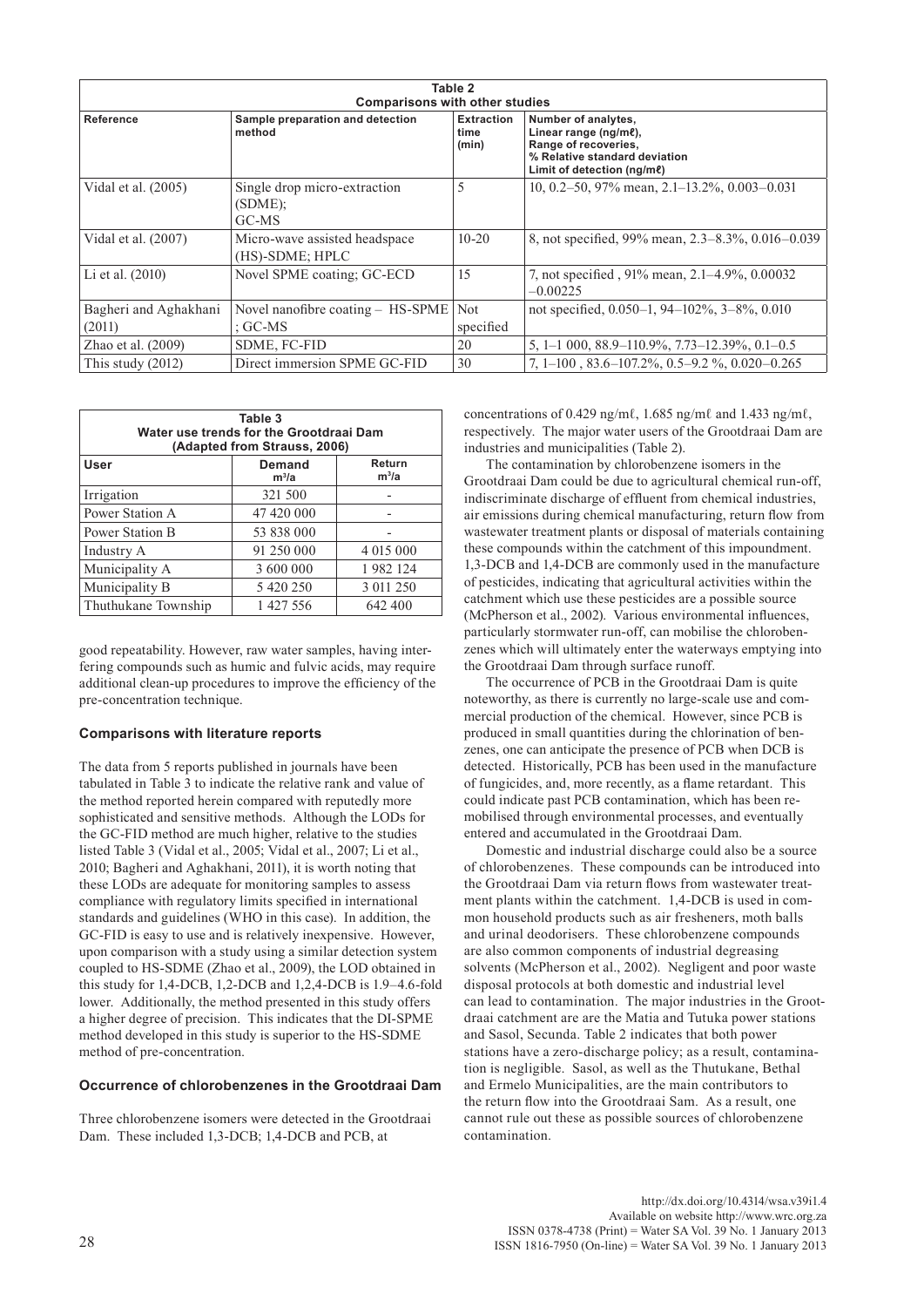| Table 2<br><b>Comparisons with other studies</b> |                                                     |                                    |                                                                                                                                         |  |  |  |  |  |
|--------------------------------------------------|-----------------------------------------------------|------------------------------------|-----------------------------------------------------------------------------------------------------------------------------------------|--|--|--|--|--|
| Reference                                        | Sample preparation and detection<br>method          | <b>Extraction</b><br>time<br>(min) | Number of analytes,<br>Linear range (ng/me),<br>Range of recoveries,<br>% Relative standard deviation<br>Limit of detection ( $nq/m$ e) |  |  |  |  |  |
| Vidal et al. $(2005)$                            | Single drop micro-extraction<br>$(SDME)$ :<br>GC-MS | 5                                  | 10, 0.2–50, 97% mean, 2.1–13.2%, 0.003–0.031                                                                                            |  |  |  |  |  |
| Vidal et al. (2007)                              | Micro-wave assisted headspace<br>(HS)-SDME; HPLC    | $10 - 20$                          | 8, not specified, 99% mean, 2.3–8.3%, 0.016–0.039                                                                                       |  |  |  |  |  |
| Li et al. $(2010)$                               | Novel SPME coating; GC-ECD                          | 15                                 | 7, not specified, 91% mean, 2.1–4.9%, 0.00032<br>$-0.00225$                                                                             |  |  |  |  |  |
| Bagheri and Aghakhani<br>(2011)                  | Novel nanofibre coating – HS-SPME<br>: $GC-MS$      | Not<br>specified                   | not specified, $0.050-1$ , $94-102\%$ , $3-8\%$ , $0.010$                                                                               |  |  |  |  |  |
| Zhao et al. $(2009)$                             | SDME, FC-FID                                        | 20                                 | $5, 1-1000, 88.9-110.9\%$ , $7.73-12.39\%$ , $0.1-0.5$                                                                                  |  |  |  |  |  |
| This study $(2012)$                              | Direct immersion SPME GC-FID                        | 30                                 | $7, 1-100, 83.6-107.2\%$ , 0.5-9.2 $\%$ , 0.020-0.265                                                                                   |  |  |  |  |  |

| Table 3<br>Water use trends for the Grootdraai Dam<br>(Adapted from Strauss, 2006) |                   |                   |  |  |  |  |  |
|------------------------------------------------------------------------------------|-------------------|-------------------|--|--|--|--|--|
| User                                                                               | Demand<br>$m^3/a$ | Return<br>$m^3/a$ |  |  |  |  |  |
| Irrigation                                                                         | 321 500           |                   |  |  |  |  |  |
| Power Station A                                                                    | 47 420 000        |                   |  |  |  |  |  |
| Power Station B                                                                    | 53 838 000        |                   |  |  |  |  |  |
| Industry A                                                                         | 91 250 000        | 4 015 000         |  |  |  |  |  |
| Municipality A                                                                     | 3 600 000         | 1982 124          |  |  |  |  |  |
| Municipality B                                                                     | 5 420 250         | 3 011 250         |  |  |  |  |  |
| Thuthukane Township                                                                | 1 427 556         | 642 400           |  |  |  |  |  |

good repeatability. However, raw water samples, having interfering compounds such as humic and fulvic acids, may require additional clean-up procedures to improve the efficiency of the pre-concentration technique.

# **Comparisons with literature reports**

The data from 5 reports published in journals have been tabulated in Table 3 to indicate the relative rank and value of the method reported herein compared with reputedly more sophisticated and sensitive methods. Although the LODs for the GC-FID method are much higher, relative to the studies listed Table 3 (Vidal et al., 2005; Vidal et al., 2007; Li et al., 2010; Bagheri and Aghakhani, 2011), it is worth noting that these LODs are adequate for monitoring samples to assess compliance with regulatory limits specified in international standards and guidelines (WHO in this case). In addition, the GC-FID is easy to use and is relatively inexpensive. However, upon comparison with a study using a similar detection system coupled to HS-SDME (Zhao et al., 2009), the LOD obtained in this study for 1,4-DCB, 1,2-DCB and 1,2,4-DCB is 1.9–4.6-fold lower. Additionally, the method presented in this study offers a higher degree of precision. This indicates that the DI-SPME method developed in this study is superior to the HS-SDME method of pre-concentration.

# **Occurrence of chlorobenzenes in the Grootdraai Dam**

Three chlorobenzene isomers were detected in the Grootdraai Dam. These included 1,3-DCB; 1,4-DCB and PCB, at

concentrations of 0.429 ng/mℓ, 1.685 ng/mℓ and 1.433 ng/mℓ, respectively. The major water users of the Grootdraai Dam are industries and municipalities (Table 2).

The contamination by chlorobenzene isomers in the Grootdraai Dam could be due to agricultural chemical run-off, indiscriminate discharge of effluent from chemical industries, air emissions during chemical manufacturing, return flow from wastewater treatment plants or disposal of materials containing these compounds within the catchment of this impoundment. 1,3-DCB and 1,4-DCB are commonly used in the manufacture of pesticides, indicating that agricultural activities within the catchment which use these pesticides are a possible source (McPherson et al., 2002). Various environmental influences, particularly stormwater run-off, can mobilise the chlorobenzenes which will ultimately enter the waterways emptying into the Grootdraai Dam through surface runoff.

The occurrence of PCB in the Grootdraai Dam is quite noteworthy, as there is currently no large-scale use and commercial production of the chemical. However, since PCB is produced in small quantities during the chlorination of benzenes, one can anticipate the presence of PCB when DCB is detected. Historically, PCB has been used in the manufacture of fungicides, and, more recently, as a flame retardant. This could indicate past PCB contamination, which has been remobilised through environmental processes, and eventually entered and accumulated in the Grootdraai Dam.

Domestic and industrial discharge could also be a source of chlorobenzenes. These compounds can be introduced into the Grootdraai Dam via return flows from wastewater treatment plants within the catchment. 1,4-DCB is used in common household products such as air fresheners, moth balls and urinal deodorisers. These chlorobenzene compounds are also common components of industrial degreasing solvents (McPherson et al., 2002). Negligent and poor waste disposal protocols at both domestic and industrial level can lead to contamination. The major industries in the Grootdraai catchment are are the Matia and Tutuka power stations and Sasol, Secunda. Table 2 indicates that both power stations have a zero-discharge policy; as a result, contamination is negligible. Sasol, as well as the Thutukane, Bethal and Ermelo Municipalities, are the main contributors to the return flow into the Grootdraai Sam. As a result, one cannot rule out these as possible sources of chlorobenzene contamination.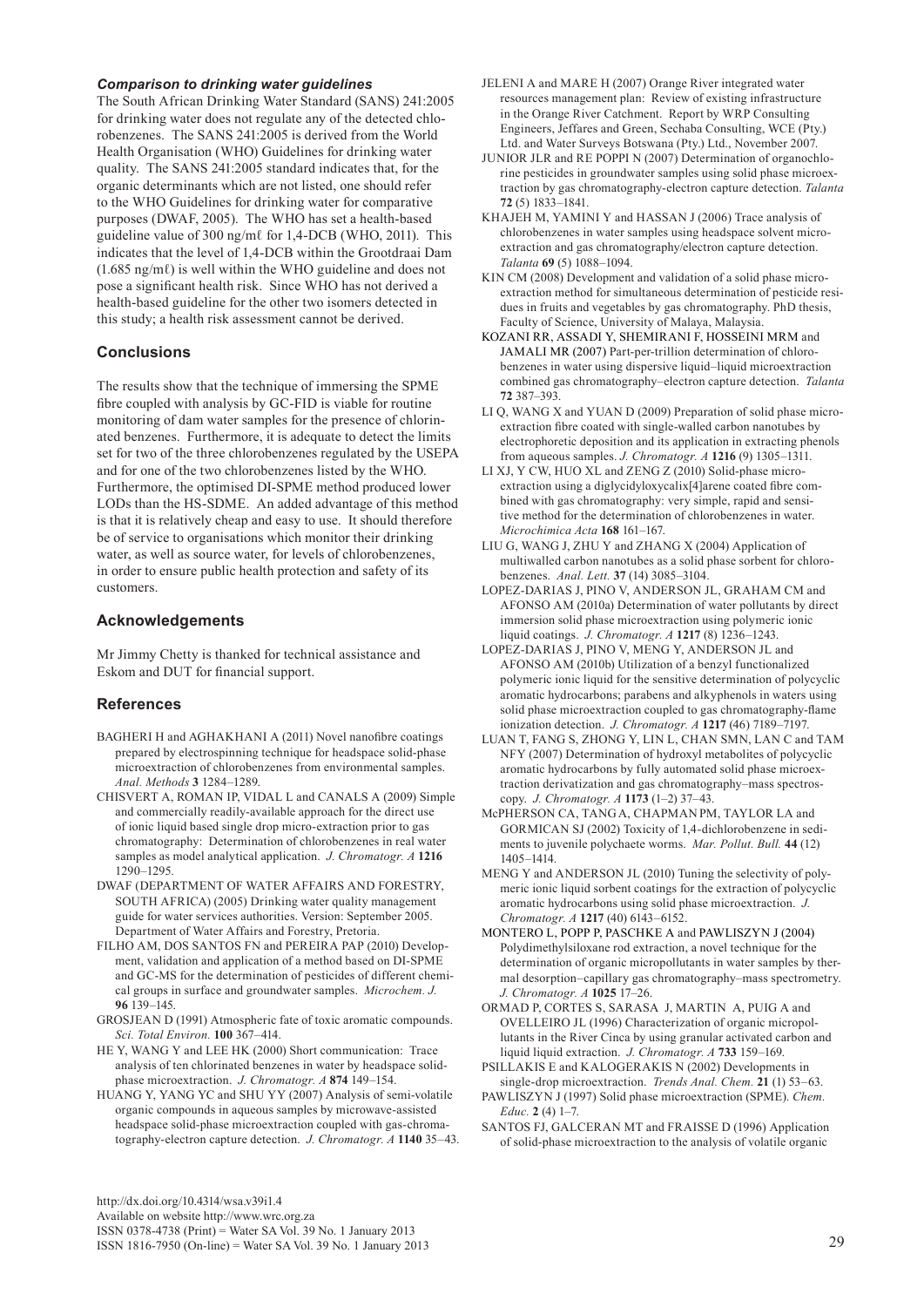## *Comparison to drinking water guidelines*

The South African Drinking Water Standard (SANS) 241:2005 for drinking water does not regulate any of the detected chlorobenzenes. The SANS 241:2005 is derived from the World Health Organisation (WHO) Guidelines for drinking water quality. The SANS 241:2005 standard indicates that, for the organic determinants which are not listed, one should refer to the WHO Guidelines for drinking water for comparative purposes (DWAF, 2005). The WHO has set a health-based guideline value of 300 ng/mℓ for 1,4-DCB (WHO, 2011). This indicates that the level of 1,4-DCB within the Grootdraai Dam (1.685 ng/mℓ) is well within the WHO guideline and does not pose a significant health risk. Since WHO has not derived a health-based guideline for the other two isomers detected in this study; a health risk assessment cannot be derived.

# **Conclusions**

The results show that the technique of immersing the SPME fibre coupled with analysis by GC-FID is viable for routine monitoring of dam water samples for the presence of chlorinated benzenes. Furthermore, it is adequate to detect the limits set for two of the three chlorobenzenes regulated by the USEPA and for one of the two chlorobenzenes listed by the WHO. Furthermore, the optimised DI-SPME method produced lower LODs than the HS-SDME. An added advantage of this method is that it is relatively cheap and easy to use. It should therefore be of service to organisations which monitor their drinking water, as well as source water, for levels of chlorobenzenes, in order to ensure public health protection and safety of its customers.

# **Acknowledgements**

Mr Jimmy Chetty is thanked for technical assistance and Eskom and DUT for financial support.

# **References**

- BAGHERI H and AGHAKHANI A (2011) Novel nanofibre coatings prepared by electrospinning technique for headspace solid-phase microextraction of chlorobenzenes from environmental samples. *Anal. Methods* **3** 1284–1289.
- CHISVERT A, ROMAN IP, VIDAL L and CANALS A (2009) Simple and commercially readily-available approach for the direct use of ionic liquid based single drop micro-extraction prior to gas chromatography: Determination of chlorobenzenes in real water samples as model analytical application. *J. Chromatogr. A* **1216**  1290–1295.
- DWAF (DEPARTMENT OF WATER AFFAIRS AND FORESTRY, SOUTH AFRICA) (2005) Drinking water quality management guide for water services authorities. Version: September 2005. Department of Water Affairs and Forestry, Pretoria.
- FILHO AM, DOS SANTOS FN and PEREIRA PAP (2010) Development, validation and application of a method based on DI-SPME and GC-MS for the determination of pesticides of different chemical groups in surface and groundwater samples. *Microchem. J.* **96** 139–145.
- GROSJEAN D (1991) Atmospheric fate of toxic aromatic compounds. *Sci. Total Environ.* **100** 367–414.
- HE Y, WANG Y and LEE HK (2000) Short communication: Trace analysis of ten chlorinated benzenes in water by headspace solidphase microextraction. *J. Chromatogr. A* **874** 149–154.
- HUANG Y, YANG YC and SHU YY (2007) Analysis of semi-volatile organic compounds in aqueous samples by microwave-assisted headspace solid-phase microextraction coupled with gas-chromatography-electron capture detection. *J. Chromatogr. A* **1140** 35–43.

[http://dx.doi.org/10.4314/wsa.v39i1.4](http://dx.doi.org/10.4314/wsa.v37i4.18) 

Available on website http://www.wrc.org.za

ISSN 0378-4738 (Print) = Water SA Vol. 39 No. 1 January 2013 ISSN 1816-7950 (On-line) = Water SA Vol. 39 No. 1 January 2013 29

- JELENI A and MARE H (2007) Orange River integrated water resources management plan: Review of existing infrastructure in the Orange River Catchment. Report by WRP Consulting Engineers, Jeffares and Green, Sechaba Consulting, WCE (Pty.) Ltd. and Water Surveys Botswana (Pty.) Ltd., November 2007.
- JUNIOR JLR and RE POPPI N (2007) Determination of organochlorine pesticides in groundwater samples using solid phase microextraction by gas chromatography-electron capture detection. *Talanta* **72** (5) 1833–1841.
- KHAJEH M, YAMINI Y and HASSAN J (2006) Trace analysis of chlorobenzenes in water samples using headspace solvent microextraction and gas chromatography/electron capture detection. *[Talanta](http://www.sciencedirect.com/science/journal/00399140)* **69** (5) 1088–1094.
- KIN CM (2008) Development and validation of a solid phase microextraction method for simultaneous determination of pesticide residues in fruits and vegetables by gas chromatography. PhD thesis, Faculty of Science, University of Malaya, Malaysia.
- KOZANI RR, ASSADI Y, SHEMIRANI F, HOSSEINI MRM and JAMALI MR (2007) Part-per-trillion determination of chlorobenzenes in water using dispersive liquid–liquid microextraction combined gas chromatography–electron capture detection. *Talanta* **72** 387–393.
- LI Q, WANG X and YUAN D (2009) Preparation of solid phase microextraction fibre coated with single-walled carbon nanotubes by electrophoretic deposition and its application in extracting phenols from aqueous samples. *J. Chromatogr. A* **1216** (9) 1305–1311.
- LI XJ, Y CW, HUO XL and ZENG Z (2010) Solid-phase microextraction using a diglycidyloxycalix[4]arene coated fibre combined with gas chromatography: very simple, rapid and sensitive method for the determination of chlorobenzenes in water. *Microchimica Acta* **168** 161–167.
- LIU G, WANG J, ZHU Y and ZHANG X (2004) Application of multiwalled carbon nanotubes as a solid phase sorbent for chlorobenzenes. *Anal. Lett.* **37** (14) 3085–3104.
- LOPEZ-DARIAS J, PINO V, ANDERSON JL, GRAHAM CM and AFONSO AM (2010a) Determination of water pollutants by direct immersion solid phase microextraction using polymeric ionic liquid coatings. *J. Chromatogr. A* **1217** (8) 1236–1243.
- LOPEZ-DARIAS J, PINO V, MENG Y, ANDERSON JL and AFONSO AM (2010b) Utilization of a benzyl functionalized polymeric ionic liquid for the sensitive determination of polycyclic aromatic hydrocarbons; parabens and alkyphenols in waters using solid phase microextraction coupled to gas chromatography-flame ionization detection. *J. Chromatogr. A* **1217** (46) 7189–7197.
- LUAN T, FANG S, ZHONG Y, LIN L, CHAN SMN, LAN C and TAM NFY (2007) Determination of hydroxyl metabolites of polycyclic aromatic hydrocarbons by fully automated solid phase microextraction derivatization and gas chromatography–mass spectroscopy. *J. Chromatogr. A* **1173** (1–2) 37–43.
- McPHERSON CA, TANG A, CHAPMAN PM, TAYLOR LA and GORMICAN SJ (2002) Toxicity of 1,4-dichlorobenzene in sediments to juvenile polychaete worms. *[Mar. Pollut. Bull.](http://www.sciencedirect.com/science/journal/0025326X)* **44** [\(12\)](http://www.sciencedirect.com/science?_ob=PublicationURL&_tockey=%23TOC%235819%232002%23999559987%23368763%23FLA%23&_cdi=5819&_pubType=J&view=c&_auth=y&_acct=C000055460&_version=1&_urlVersion=0&_userid=3077866&md5=d046fdb90e863bcf02cbc5e585c2eba4) 1405–1414.
- MENG Y and ANDERSON JL (2010) Tuning the selectivity of polymeric ionic liquid sorbent coatings for the extraction of polycyclic aromatic hydrocarbons using solid phase microextraction. *J. Chromatogr. A* **1217** (40) 6143–6152.
- MONTERO L, POPP P, PASCHKE A and PAWLISZYN J (2004) Polydimethylsiloxane rod extraction, a novel technique for the determination of organic micropollutants in water samples by thermal desorption–capillary gas chromatography–mass spectrometry. *J. Chromatogr. A* **1025** 17–26.
- ORMAD P, CORTES S, SARASA J, MARTIN A, PUIG A and OVELLEIRO JL (1996) Characterization of organic micropollutants in the River Cinca by using granular activated carbon and liquid liquid extraction. *J. Chromatogr. A* **733** 159–169.
- PSILLAKIS E and KALOGERAKIS N (2002) Developments in single-drop microextraction. *Trends Anal. Chem.* **21** (1) 53–63.
- PAWLISZYN J (1997) Solid phase microextraction (SPME). *Chem. Educ.* **2** (4) 1–7.
- SANTOS FJ, GALCERAN MT and FRAISSE D (1996) Application of solid-phase microextraction to the analysis of volatile organic